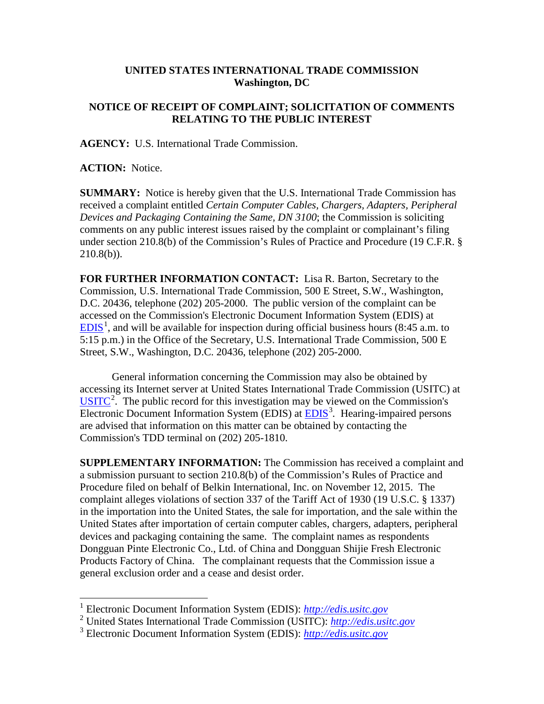## **UNITED STATES INTERNATIONAL TRADE COMMISSION Washington, DC**

## **NOTICE OF RECEIPT OF COMPLAINT; SOLICITATION OF COMMENTS RELATING TO THE PUBLIC INTEREST**

**AGENCY:** U.S. International Trade Commission.

**ACTION:** Notice.

**SUMMARY:** Notice is hereby given that the U.S. International Trade Commission has received a complaint entitled *Certain Computer Cables, Chargers, Adapters, Peripheral Devices and Packaging Containing the Same, DN 3100*; the Commission is soliciting comments on any public interest issues raised by the complaint or complainant's filing under section 210.8(b) of the Commission's Rules of Practice and Procedure (19 C.F.R. §  $210.8(b)$ ).

**FOR FURTHER INFORMATION CONTACT:** Lisa R. Barton, Secretary to the Commission, U.S. International Trade Commission, 500 E Street, S.W., Washington, D.C. 20436, telephone (202) 205-2000. The public version of the complaint can be accessed on the Commission's Electronic Document Information System (EDIS) at  $EDIS<sup>1</sup>$  $EDIS<sup>1</sup>$  $EDIS<sup>1</sup>$  $EDIS<sup>1</sup>$ , and will be available for inspection during official business hours (8:45 a.m. to 5:15 p.m.) in the Office of the Secretary, U.S. International Trade Commission, 500 E Street, S.W., Washington, D.C. 20436, telephone (202) 205-2000.

General information concerning the Commission may also be obtained by accessing its Internet server at United States International Trade Commission (USITC) at  $\overline{USTTC}^2$  $\overline{USTTC}^2$ . The public record for this investigation may be viewed on the Commission's Electronic Document Information System (EDIS) at **EDIS**<sup>[3](#page-0-2)</sup>. Hearing-impaired persons are advised that information on this matter can be obtained by contacting the Commission's TDD terminal on (202) 205-1810.

**SUPPLEMENTARY INFORMATION:** The Commission has received a complaint and a submission pursuant to section 210.8(b) of the Commission's Rules of Practice and Procedure filed on behalf of Belkin International, Inc. on November 12, 2015. The complaint alleges violations of section 337 of the Tariff Act of 1930 (19 U.S.C. § 1337) in the importation into the United States, the sale for importation, and the sale within the United States after importation of certain computer cables, chargers, adapters, peripheral devices and packaging containing the same. The complaint names as respondents Dongguan Pinte Electronic Co., Ltd. of China and Dongguan Shijie Fresh Electronic Products Factory of China. The complainant requests that the Commission issue a general exclusion order and a cease and desist order.

<span id="page-0-0"></span> <sup>1</sup> Electronic Document Information System (EDIS): *[http://edis.usitc.gov](http://edis.usitc.gov/)*

<span id="page-0-1"></span><sup>2</sup> United States International Trade Commission (USITC): *[http://edis.usitc.gov](http://edis.usitc.gov/)*

<span id="page-0-2"></span><sup>3</sup> Electronic Document Information System (EDIS): *[http://edis.usitc.gov](http://edis.usitc.gov/)*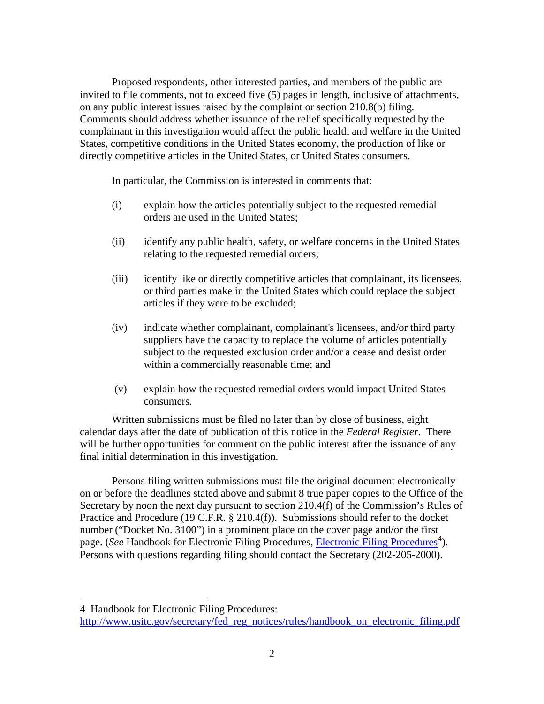Proposed respondents, other interested parties, and members of the public are invited to file comments, not to exceed five (5) pages in length, inclusive of attachments, on any public interest issues raised by the complaint or section 210.8(b) filing. Comments should address whether issuance of the relief specifically requested by the complainant in this investigation would affect the public health and welfare in the United States, competitive conditions in the United States economy, the production of like or directly competitive articles in the United States, or United States consumers.

In particular, the Commission is interested in comments that:

- (i) explain how the articles potentially subject to the requested remedial orders are used in the United States;
- (ii) identify any public health, safety, or welfare concerns in the United States relating to the requested remedial orders;
- (iii) identify like or directly competitive articles that complainant, its licensees, or third parties make in the United States which could replace the subject articles if they were to be excluded;
- (iv) indicate whether complainant, complainant's licensees, and/or third party suppliers have the capacity to replace the volume of articles potentially subject to the requested exclusion order and/or a cease and desist order within a commercially reasonable time; and
- (v) explain how the requested remedial orders would impact United States consumers.

Written submissions must be filed no later than by close of business, eight calendar days after the date of publication of this notice in the *Federal Register*. There will be further opportunities for comment on the public interest after the issuance of any final initial determination in this investigation.

Persons filing written submissions must file the original document electronically on or before the deadlines stated above and submit 8 true paper copies to the Office of the Secretary by noon the next day pursuant to section 210.4(f) of the Commission's Rules of Practice and Procedure (19 C.F.R. § 210.4(f)). Submissions should refer to the docket number ("Docket No. 3100") in a prominent place on the cover page and/or the first page. (*See* Handbook for [Electronic Filing Procedures](http://www.usitc.gov/secretary/fed_reg_notices/rules/handbook_on_electronic_filing.pdf), *Electronic Filing Procedures*<sup>[4](#page-1-0)</sup>). Persons with questions regarding filing should contact the Secretary (202-205-2000).

 $\overline{a}$ 

<span id="page-1-0"></span><sup>4</sup> Handbook for Electronic Filing Procedures:

http://www.usitc.gov/secretary/fed\_reg\_notices/rules/handbook\_on\_electronic\_filing.pdf